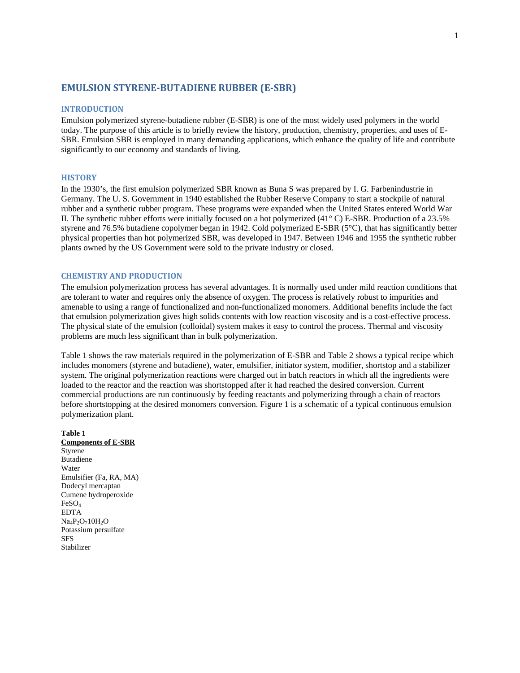## **EMULSION STYRENE‐BUTADIENE RUBBER (E‐SBR)**

#### **INTRODUCTION**

Emulsion polymerized styrene-butadiene rubber (E-SBR) is one of the most widely used polymers in the world today. The purpose of this article is to briefly review the history, production, chemistry, properties, and uses of E-SBR. Emulsion SBR is employed in many demanding applications, which enhance the quality of life and contribute significantly to our economy and standards of living.

### **HISTORY**

In the 1930's, the first emulsion polymerized SBR known as Buna S was prepared by I. G. Farbenindustrie in Germany. The U. S. Government in 1940 established the Rubber Reserve Company to start a stockpile of natural rubber and a synthetic rubber program. These programs were expanded when the United States entered World War II. The synthetic rubber efforts were initially focused on a hot polymerized (41° C) E-SBR. Production of a 23.5% styrene and 76.5% butadiene copolymer began in 1942. Cold polymerized E-SBR (5°C), that has significantly better physical properties than hot polymerized SBR, was developed in 1947. Between 1946 and 1955 the synthetic rubber plants owned by the US Government were sold to the private industry or closed.

### **CHEMISTRY AND PRODUCTION**

The emulsion polymerization process has several advantages. It is normally used under mild reaction conditions that are tolerant to water and requires only the absence of oxygen. The process is relatively robust to impurities and amenable to using a range of functionalized and non-functionalized monomers. Additional benefits include the fact that emulsion polymerization gives high solids contents with low reaction viscosity and is a cost-effective process. The physical state of the emulsion (colloidal) system makes it easy to control the process. Thermal and viscosity problems are much less significant than in bulk polymerization.

Table 1 shows the raw materials required in the polymerization of E-SBR and Table 2 shows a typical recipe which includes monomers (styrene and butadiene), water, emulsifier, initiator system, modifier, shortstop and a stabilizer system. The original polymerization reactions were charged out in batch reactors in which all the ingredients were loaded to the reactor and the reaction was shortstopped after it had reached the desired conversion. Current commercial productions are run continuously by feeding reactants and polymerizing through a chain of reactors before shortstopping at the desired monomers conversion. Figure 1 is a schematic of a typical continuous emulsion polymerization plant.

**Table 1 Components of E-SBR** Styrene Butadiene Water Emulsifier (Fa, RA, MA) Dodecyl mercaptan Cumene hydroperoxide FeSO4 EDTA  $Na_4P_2O_710H_2O$ Potassium persulfate **SFS** Stabilizer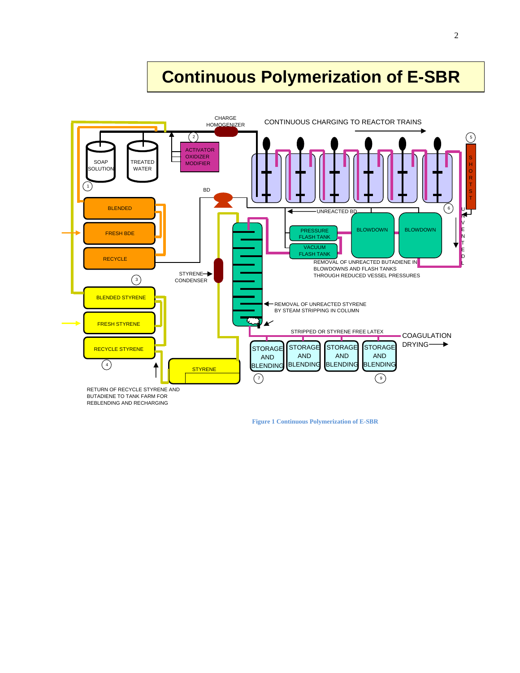# **Continuous Polymerization of E-SBR**



 **Figure 1 Continuous Polymerization of E-SBR**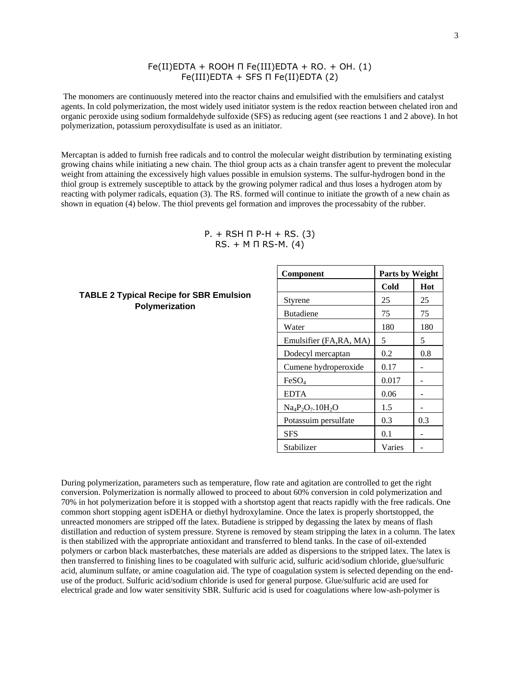## Fe(II)EDTA + ROOH Π Fe(III)EDTA + RO. + OH. (1) Fe(III)EDTA + SFS Π Fe(II)EDTA (2)

 The monomers are continuously metered into the reactor chains and emulsified with the emulsifiers and catalyst agents. In cold polymerization, the most widely used initiator system is the redox reaction between chelated iron and organic peroxide using sodium formaldehyde sulfoxide (SFS) as reducing agent (see reactions 1 and 2 above). In hot polymerization, potassium peroxydisulfate is used as an initiator.

Mercaptan is added to furnish free radicals and to control the molecular weight distribution by terminating existing growing chains while initiating a new chain. The thiol group acts as a chain transfer agent to prevent the molecular weight from attaining the excessively high values possible in emulsion systems. The sulfur-hydrogen bond in the thiol group is extremely susceptible to attack by the growing polymer radical and thus loses a hydrogen atom by reacting with polymer radicals, equation (3). The RS. formed will continue to initiate the growth of a new chain as shown in equation (4) below. The thiol prevents gel formation and improves the processabity of the rubber.

$$
P. + RSH \Pi P-H + RS. (3)
$$
  
RS. + M \Pi RS-M. (4)

## **TABLE 2 Typical Recipe for SBR Emulsion Polymerization**

| Component               | <b>Parts by Weight</b> |     |  |
|-------------------------|------------------------|-----|--|
|                         | Cold                   | Hot |  |
| Styrene                 | 25                     | 25  |  |
| <b>Butadiene</b>        | 75                     | 75  |  |
| Water                   | 180                    | 180 |  |
| Emulsifier (FA, RA, MA) | 5                      | 5   |  |
| Dodecyl mercaptan       | 0.2                    | 0.8 |  |
| Cumene hydroperoxide    | 0.17                   |     |  |
| FeSO <sub>4</sub>       | 0.017                  |     |  |
| <b>EDTA</b>             | 0.06                   |     |  |
| $Na_4P_2O_7.10H_2O$     | 1.5                    |     |  |
| Potassuim persulfate    | 0.3                    | 0.3 |  |
| SFS                     | 0.1                    |     |  |
| Stabilizer              | Varies                 |     |  |

During polymerization, parameters such as temperature, flow rate and agitation are controlled to get the right conversion. Polymerization is normally allowed to proceed to about 60% conversion in cold polymerization and 70% in hot polymerization before it is stopped with a shortstop agent that reacts rapidly with the free radicals. One common short stopping agent isDEHA or diethyl hydroxylamine. Once the latex is properly shortstopped, the unreacted monomers are stripped off the latex. Butadiene is stripped by degassing the latex by means of flash distillation and reduction of system pressure. Styrene is removed by steam stripping the latex in a column. The latex is then stabilized with the appropriate antioxidant and transferred to blend tanks. In the case of oil-extended polymers or carbon black masterbatches, these materials are added as dispersions to the stripped latex. The latex is then transferred to finishing lines to be coagulated with sulfuric acid, sulfuric acid/sodium chloride, glue/sulfuric acid, aluminum sulfate, or amine coagulation aid. The type of coagulation system is selected depending on the enduse of the product. Sulfuric acid/sodium chloride is used for general purpose. Glue/sulfuric acid are used for electrical grade and low water sensitivity SBR. Sulfuric acid is used for coagulations where low-ash-polymer is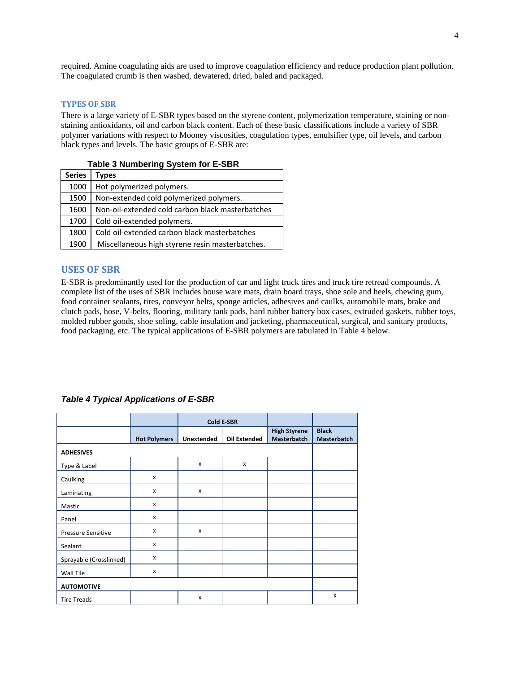required. Amine coagulating aids are used to improve coagulation efficiency and reduce production plant pollution. The coagulated crumb is then washed, dewatered, dried, baled and packaged.

### **TYPES OF SBR**

There is a large variety of E-SBR types based on the styrene content, polymerization temperature, staining or nonstaining antioxidants, oil and carbon black content. Each of these basic classifications include a variety of SBR polymer variations with respect to Mooney viscosities, coagulation types, emulsifier type, oil levels, and carbon black types and levels. The basic groups of E-SBR are:

| Table 3 Numbering System for E-SBR |                                                  |  |  |
|------------------------------------|--------------------------------------------------|--|--|
| <b>Series</b>                      | <b>Types</b>                                     |  |  |
| 1000                               | Hot polymerized polymers.                        |  |  |
| 1500                               | Non-extended cold polymerized polymers.          |  |  |
| 1600                               | Non-oil-extended cold carbon black masterbatches |  |  |
| 1700                               | Cold oil-extended polymers.                      |  |  |
| 1800                               | Cold oil-extended carbon black masterbatches     |  |  |
| 1900                               | Miscellaneous high styrene resin masterbatches.  |  |  |

## Series **Table 3 Numbering System for E-SBRC**

## **USES OF SBR**

E-SBR is predominantly used for the production of car and light truck tires and truck tire retread compounds. A complete list of the uses of SBR includes house ware mats, drain board trays, shoe sole and heels, chewing gum, food container sealants, tires, conveyor belts, sponge articles, adhesives and caulks, automobile mats, brake and clutch pads, hose, V-belts, flooring, military tank pads, hard rubber battery box cases, extruded gaskets, rubber toys, molded rubber goods, shoe soling, cable insulation and jacketing, pharmaceutical, surgical, and sanitary products, food packaging, etc. The typical applications of E-SBR polymers are tabulated in Table 4 below.

|                           |                     | <b>Cold E-SBR</b> |                     |                                           |                                    |  |
|---------------------------|---------------------|-------------------|---------------------|-------------------------------------------|------------------------------------|--|
|                           | <b>Hot Polymers</b> | <b>Unextended</b> | <b>Oil Extended</b> | <b>High Styrene</b><br><b>Masterbatch</b> | <b>Black</b><br><b>Masterbatch</b> |  |
| <b>ADHESIVES</b>          |                     |                   |                     |                                           |                                    |  |
| Type & Label              |                     | $\mathsf{x}$      | X                   |                                           |                                    |  |
| Caulking                  | x                   |                   |                     |                                           |                                    |  |
| Laminating                | x                   | x                 |                     |                                           |                                    |  |
| Mastic                    | x                   |                   |                     |                                           |                                    |  |
| Panel                     | $\mathsf{x}$        |                   |                     |                                           |                                    |  |
| <b>Pressure Sensitive</b> | $\mathsf{x}$        | $\mathsf{x}$      |                     |                                           |                                    |  |
| Sealant                   | X                   |                   |                     |                                           |                                    |  |
| Sprayable (Crosslinked)   | X                   |                   |                     |                                           |                                    |  |
| Wall Tile                 | $\mathsf{x}$        |                   |                     |                                           |                                    |  |
| <b>AUTOMOTIVE</b>         |                     |                   |                     |                                           |                                    |  |
| <b>Tire Treads</b>        |                     | x                 |                     |                                           | x                                  |  |

#### *Table 4 Typical Applications of E-SBR*